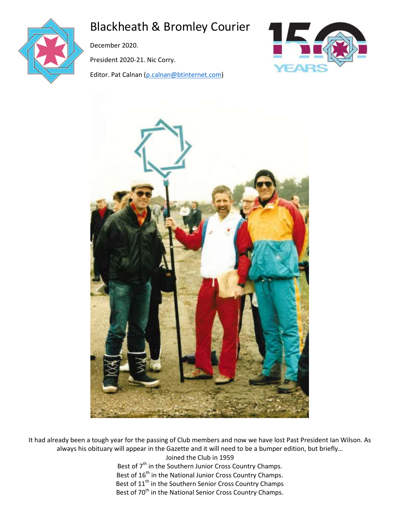

# Blackheath & Bromley Courier

December 2020.

President 2020-21. Nic Corry.

Editor. Pat Calnan [\(p.calnan@btinternet.com\)](mailto:p.calnan@btinternet.com)





It had already been a tough year for the passing of Club members and now we have lost Past President Ian Wilson. As always his obituary will appear in the Gazette and it will need to be a bumper edition, but briefly…

Joined the Club in 1959 Best of 7<sup>th</sup> in the Southern Junior Cross Country Champs. Best of 16<sup>th</sup> in the National Junior Cross Country Champs. Best of 11<sup>th</sup> in the Southern Senior Cross Country Champs. Best of 70<sup>th</sup> in the National Senior Cross Country Champs.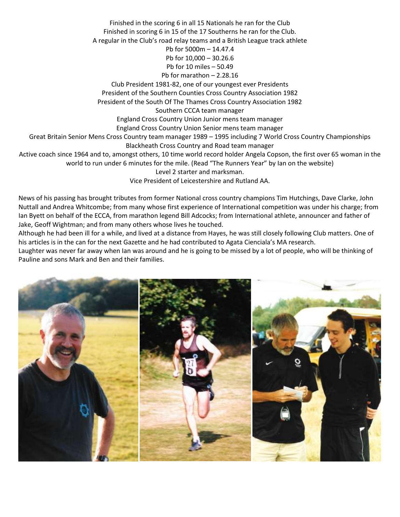Finished in the scoring 6 in all 15 Nationals he ran for the Club Finished in scoring 6 in 15 of the 17 Southerns he ran for the Club. A regular in the Club's road relay teams and a British League track athlete Pb for 5000m – 14.47.4 Pb for 10,000 – 30.26.6 Pb for 10 miles – 50.49 Pb for marathon – 2.28.16 Club President 1981-82, one of our youngest ever Presidents President of the Southern Counties Cross Country Association 1982 President of the South Of The Thames Cross Country Association 1982 Southern CCCA team manager England Cross Country Union Junior mens team manager England Cross Country Union Senior mens team manager Great Britain Senior Mens Cross Country team manager 1989 – 1995 including 7 World Cross Country Championships Blackheath Cross Country and Road team manager Active coach since 1964 and to, amongst others, 10 time world record holder Angela Copson, the first over 65 woman in the world to run under 6 minutes for the mile. (Read "The Runners Year" by Ian on the website) Level 2 starter and marksman. Vice President of Leicestershire and Rutland AA.

News of his passing has brought tributes from former National cross country champions Tim Hutchings, Dave Clarke, John Nuttall and Andrea Whitcombe; from many whose first experience of International competition was under his charge; from Ian Byett on behalf of the ECCA, from marathon legend Bill Adcocks; from International athlete, announcer and father of Jake, Geoff Wightman; and from many others whose lives he touched.

Although he had been ill for a while, and lived at a distance from Hayes, he was still closely following Club matters. One of his articles is in the can for the next Gazette and he had contributed to Agata Cienciala's MA research.

Laughter was never far away when Ian was around and he is going to be missed by a lot of people, who will be thinking of Pauline and sons Mark and Ben and their families.

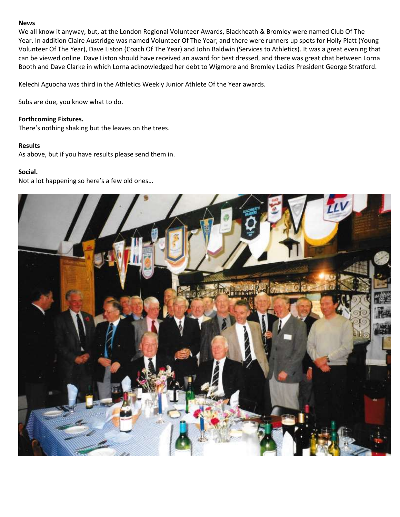## **News**

We all know it anyway, but, at the London Regional Volunteer Awards, Blackheath & Bromley were named Club Of The Year. In addition Claire Austridge was named Volunteer Of The Year; and there were runners up spots for Holly Platt (Young Volunteer Of The Year), Dave Liston (Coach Of The Year) and John Baldwin (Services to Athletics). It was a great evening that can be viewed online. Dave Liston should have received an award for best dressed, and there was great chat between Lorna Booth and Dave Clarke in which Lorna acknowledged her debt to Wigmore and Bromley Ladies President George Stratford.

Kelechi Aguocha was third in the Athletics Weekly Junior Athlete Of the Year awards.

Subs are due, you know what to do.

## **Forthcoming Fixtures.**

There's nothing shaking but the leaves on the trees.

# **Results**

As above, but if you have results please send them in.

# **Social.**

Not a lot happening so here's a few old ones…

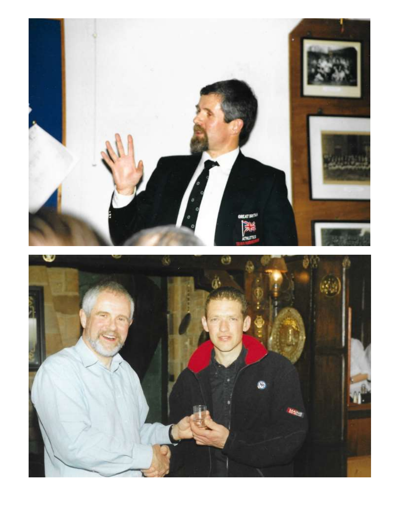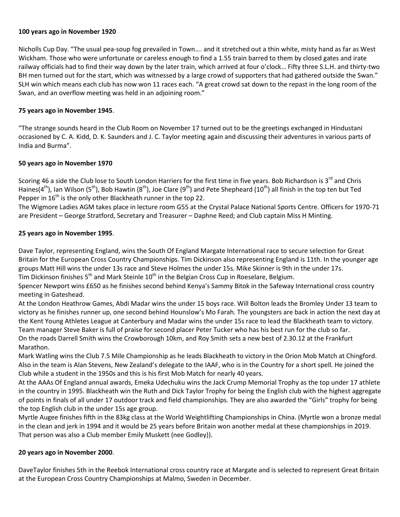## **100 years ago in November 1920**

Nicholls Cup Day. "The usual pea-soup fog prevailed in Town…. and it stretched out a thin white, misty hand as far as West Wickham. Those who were unfortunate or careless enough to find a 1.55 train barred to them by closed gates and irate railway officials had to find their way down by the later train, which arrived at four o'clock… Fifty three S.L.H. and thirty-two BH men turned out for the start, which was witnessed by a large crowd of supporters that had gathered outside the Swan." SLH win which means each club has now won 11 races each. "A great crowd sat down to the repast in the long room of the Swan, and an overflow meeting was held in an adjoining room."

# **75 years ago in November 1945**.

"The strange sounds heard in the Club Room on November 17 turned out to be the greetings exchanged in Hindustani occasioned by C. A. Kidd, D. K. Saunders and J. C. Taylor meeting again and discussing their adventures in various parts of India and Burma".

# **50 years ago in November 1970**

Scoring 46 a side the Club lose to South London Harriers for the first time in five years. Bob Richardson is 3<sup>rd</sup> and Chris Haines(4<sup>th</sup>), Ian Wilson (5<sup>th</sup>), Bob Hawtin (8<sup>th</sup>), Joe Clare (9<sup>th</sup>) and Pete Shepheard (10<sup>th</sup>) all finish in the top ten but Ted Pepper in  $16<sup>th</sup>$  is the only other Blackheath runner in the top 22.

The Wigmore Ladies AGM takes place in lecture room G55 at the Crystal Palace National Sports Centre. Officers for 1970-71 are President – George Stratford, Secretary and Treasurer – Daphne Reed; and Club captain Miss H Minting.

# **25 years ago in November 1995**.

Dave Taylor, representing England, wins the South Of England Margate International race to secure selection for Great Britain for the European Cross Country Championships. Tim Dickinson also representing England is 11th. In the younger age groups Matt Hill wins the under 13s race and Steve Holmes the under 15s. Mike Skinner is 9th in the under 17s. Tim Dickinson finishes 5<sup>th</sup> and Mark Steinle 10<sup>th</sup> in the Belgian Cross Cup in Roeselare, Belgium.

Spencer Newport wins £650 as he finishes second behind Kenya's Sammy Bitok in the Safeway International cross country meeting in Gateshead.

At the London Heathrow Games, Abdi Madar wins the under 15 boys race. Will Bolton leads the Bromley Under 13 team to victory as he finishes runner up, one second behind Hounslow's Mo Farah. The youngsters are back in action the next day at the Kent Young Athletes League at Canterbury and Madar wins the under 15s race to lead the Blackheath team to victory. Team manager Steve Baker is full of praise for second placer Peter Tucker who has his best run for the club so far. On the roads Darrell Smith wins the Crowborough 10km, and Roy Smith sets a new best of 2.30.12 at the Frankfurt Marathon.

Mark Watling wins the Club 7.5 Mile Championship as he leads Blackheath to victory in the Orion Mob Match at Chingford. Also in the team is Alan Stevens, New Zealand's delegate to the IAAF, who is in the Country for a short spell. He joined the Club while a student in the 1950s and this is his first Mob Match for nearly 40 years.

At the AAAs Of England annual awards, Emeka Udechuku wins the Jack Crump Memorial Trophy as the top under 17 athlete in the country in 1995. Blackheath win the Ruth and Dick Taylor Trophy for being the English club with the highest aggregate of points in finals of all under 17 outdoor track and field championships. They are also awarded the "Girls" trophy for being the top English club in the under 15s age group.

Myrtle Augee finishes fifth in the 83kg class at the World Weightlifting Championships in China. (Myrtle won a bronze medal in the clean and jerk in 1994 and it would be 25 years before Britain won another medal at these championships in 2019. That person was also a Club member Emily Muskett (nee Godley)).

# **20 years ago in November 2000**.

DaveTaylor finishes 5th in the Reebok International cross country race at Margate and is selected to represent Great Britain at the European Cross Country Championships at Malmo, Sweden in December.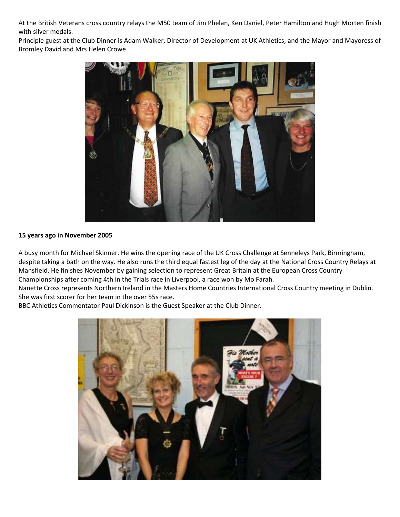At the British Veterans cross country relays the M50 team of Jim Phelan, Ken Daniel, Peter Hamilton and Hugh Morten finish with silver medals.

Principle guest at the Club Dinner is Adam Walker, Director of Development at UK Athletics, and the Mayor and Mayoress of Bromley David and Mrs Helen Crowe.



## **15 years ago in November 2005**

A busy month for Michael Skinner. He wins the opening race of the UK Cross Challenge at Senneleys Park, Birmingham, despite taking a bath on the way. He also runs the third equal fastest leg of the day at the National Cross Country Relays at Mansfield. He finishes November by gaining selection to represent Great Britain at the European Cross Country Championships after coming 4th in the Trials race in Liverpool, a race won by Mo Farah.

Nanette Cross represents Northern Ireland in the Masters Home Countries International Cross Country meeting in Dublin. She was first scorer for her team in the over 55s race.

BBC Athletics Commentator Paul Dickinson is the Guest Speaker at the Club Dinner.

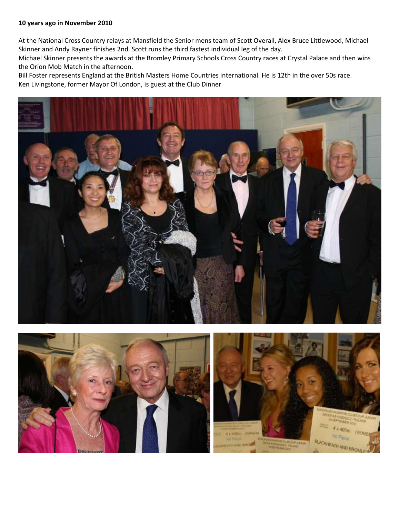## **10 years ago in November 2010**

At the National Cross Country relays at Mansfield the Senior mens team of Scott Overall, Alex Bruce Littlewood, Michael Skinner and Andy Rayner finishes 2nd. Scott runs the third fastest individual leg of the day.

Michael Skinner presents the awards at the Bromley Primary Schools Cross Country races at Crystal Palace and then wins the Orion Mob Match in the afternoon.

Bill Foster represents England at the British Masters Home Countries International. He is 12th in the over 50s race. Ken Livingstone, former Mayor Of London, is guest at the Club Dinner